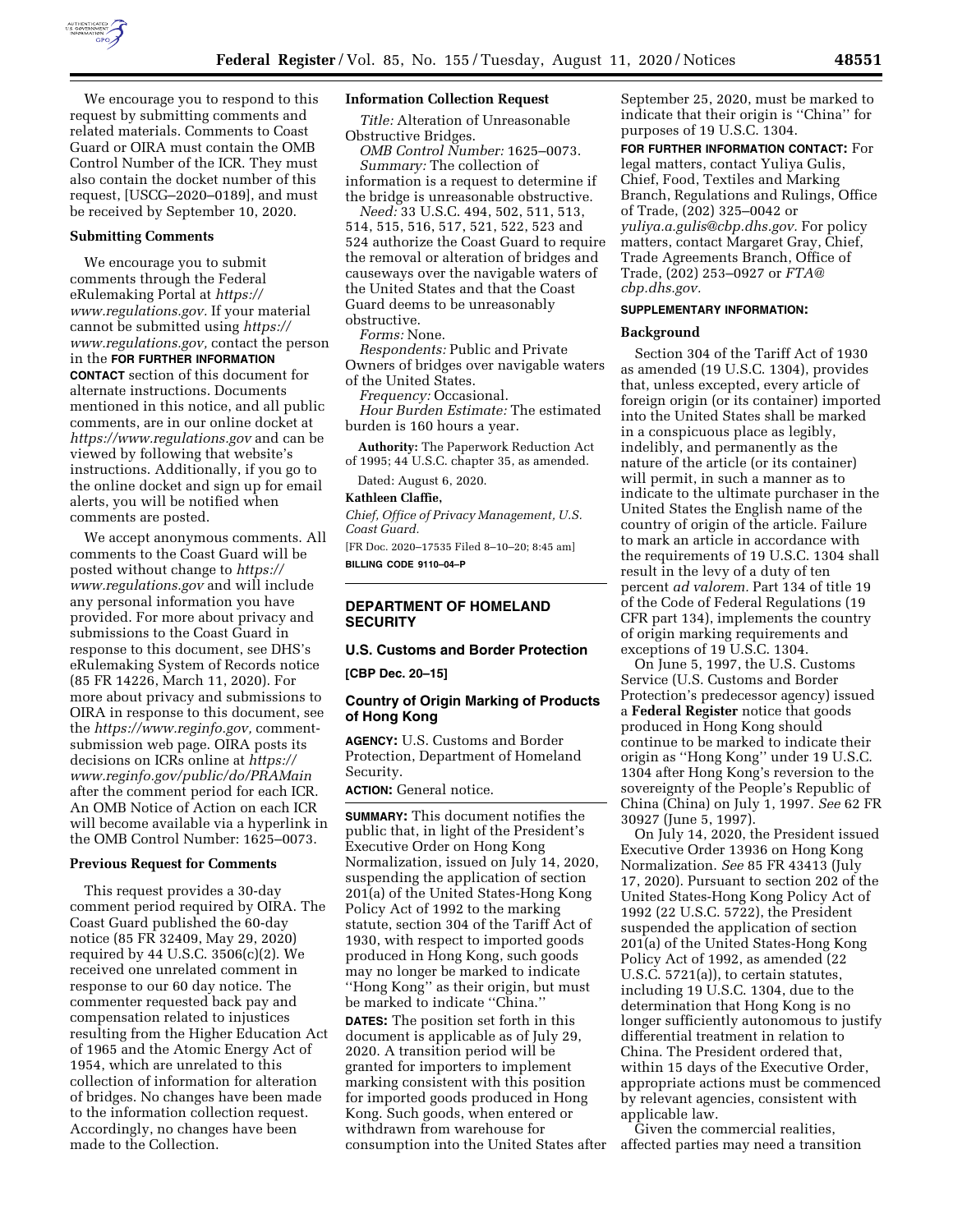

We encourage you to respond to this request by submitting comments and related materials. Comments to Coast Guard or OIRA must contain the OMB Control Number of the ICR. They must also contain the docket number of this request, [USCG–2020–0189], and must be received by September 10, 2020.

## **Submitting Comments**

We encourage you to submit comments through the Federal eRulemaking Portal at *[https://](https://www.regulations.gov) [www.regulations.gov.](https://www.regulations.gov)* If your material cannot be submitted using *[https://](https://www.regulations.gov) [www.regulations.gov,](https://www.regulations.gov)* contact the person in the **FOR FURTHER INFORMATION CONTACT** section of this document for alternate instructions. Documents mentioned in this notice, and all public comments, are in our online docket at *<https://www.regulations.gov>* and can be viewed by following that website's instructions. Additionally, if you go to the online docket and sign up for email alerts, you will be notified when comments are posted.

We accept anonymous comments. All comments to the Coast Guard will be posted without change to *[https://](https://www.regulations.gov) [www.regulations.gov](https://www.regulations.gov)* and will include any personal information you have provided. For more about privacy and submissions to the Coast Guard in response to this document, see DHS's eRulemaking System of Records notice (85 FR 14226, March 11, 2020). For more about privacy and submissions to OIRA in response to this document, see the *[https://www.reginfo.gov,](https://www.reginfo.gov)* commentsubmission web page. OIRA posts its decisions on ICRs online at *[https://](https://www.reginfo.gov/public/do/PRAMain) [www.reginfo.gov/public/do/PRAMain](https://www.reginfo.gov/public/do/PRAMain)*  after the comment period for each ICR. An OMB Notice of Action on each ICR will become available via a hyperlink in the OMB Control Number: 1625–0073.

#### **Previous Request for Comments**

This request provides a 30-day comment period required by OIRA. The Coast Guard published the 60-day notice (85 FR 32409, May 29, 2020) required by 44 U.S.C. 3506(c)(2). We received one unrelated comment in response to our 60 day notice. The commenter requested back pay and compensation related to injustices resulting from the Higher Education Act of 1965 and the Atomic Energy Act of 1954, which are unrelated to this collection of information for alteration of bridges. No changes have been made to the information collection request. Accordingly, no changes have been made to the Collection.

#### **Information Collection Request**

*Title:* Alteration of Unreasonable Obstructive Bridges.

*OMB Control Number:* 1625–0073. *Summary:* The collection of information is a request to determine if the bridge is unreasonable obstructive.

*Need:* 33 U.S.C. 494, 502, 511, 513, 514, 515, 516, 517, 521, 522, 523 and 524 authorize the Coast Guard to require the removal or alteration of bridges and causeways over the navigable waters of the United States and that the Coast Guard deems to be unreasonably obstructive.

*Forms:* None.

*Respondents:* Public and Private Owners of bridges over navigable waters of the United States.

*Frequency:* Occasional.

*Hour Burden Estimate:* The estimated burden is 160 hours a year.

**Authority:** The Paperwork Reduction Act of 1995; 44 U.S.C. chapter 35, as amended.

Dated: August 6, 2020.

### **Kathleen Claffie,**

*Chief, Office of Privacy Management, U.S. Coast Guard.* 

[FR Doc. 2020–17535 Filed 8–10–20; 8:45 am] **BILLING CODE 9110–04–P** 

## **DEPARTMENT OF HOMELAND SECURITY**

### **U.S. Customs and Border Protection**

**[CBP Dec. 20–15]** 

## **Country of Origin Marking of Products of Hong Kong**

**AGENCY:** U.S. Customs and Border Protection, Department of Homeland Security.

# **ACTION:** General notice.

**SUMMARY:** This document notifies the public that, in light of the President's Executive Order on Hong Kong Normalization, issued on July 14, 2020, suspending the application of section 201(a) of the United States-Hong Kong Policy Act of 1992 to the marking statute, section 304 of the Tariff Act of 1930, with respect to imported goods produced in Hong Kong, such goods may no longer be marked to indicate ''Hong Kong'' as their origin, but must be marked to indicate ''China.''

**DATES:** The position set forth in this document is applicable as of July 29, 2020. A transition period will be granted for importers to implement marking consistent with this position for imported goods produced in Hong Kong. Such goods, when entered or withdrawn from warehouse for consumption into the United States after September 25, 2020, must be marked to indicate that their origin is ''China'' for purposes of 19 U.S.C. 1304.

**FOR FURTHER INFORMATION CONTACT:** For legal matters, contact Yuliya Gulis, Chief, Food, Textiles and Marking Branch, Regulations and Rulings, Office of Trade, (202) 325–0042 or *[yuliya.a.gulis@cbp.dhs.gov.](mailto:yuliya.a.gulis@cbp.dhs.gov)* For policy matters, contact Margaret Gray, Chief, Trade Agreements Branch, Office of Trade, (202) 253–0927 or *[FTA@](mailto:FTA@cbp.dhs.gov) [cbp.dhs.gov.](mailto:FTA@cbp.dhs.gov)* 

## **SUPPLEMENTARY INFORMATION:**

### **Background**

Section 304 of the Tariff Act of 1930 as amended (19 U.S.C. 1304), provides that, unless excepted, every article of foreign origin (or its container) imported into the United States shall be marked in a conspicuous place as legibly, indelibly, and permanently as the nature of the article (or its container) will permit, in such a manner as to indicate to the ultimate purchaser in the United States the English name of the country of origin of the article. Failure to mark an article in accordance with the requirements of 19 U.S.C. 1304 shall result in the levy of a duty of ten percent *ad valorem.* Part 134 of title 19 of the Code of Federal Regulations (19 CFR part 134), implements the country of origin marking requirements and exceptions of 19 U.S.C. 1304.

On June 5, 1997, the U.S. Customs Service (U.S. Customs and Border Protection's predecessor agency) issued a **Federal Register** notice that goods produced in Hong Kong should continue to be marked to indicate their origin as ''Hong Kong'' under 19 U.S.C. 1304 after Hong Kong's reversion to the sovereignty of the People's Republic of China (China) on July 1, 1997. *See* 62 FR 30927 (June 5, 1997).

On July 14, 2020, the President issued Executive Order 13936 on Hong Kong Normalization. *See* 85 FR 43413 (July 17, 2020). Pursuant to section 202 of the United States-Hong Kong Policy Act of 1992 (22 U.S.C. 5722), the President suspended the application of section 201(a) of the United States-Hong Kong Policy Act of 1992, as amended (22 U.S.C. 5721(a)), to certain statutes, including 19 U.S.C. 1304, due to the determination that Hong Kong is no longer sufficiently autonomous to justify differential treatment in relation to China. The President ordered that, within 15 days of the Executive Order, appropriate actions must be commenced by relevant agencies, consistent with applicable law.

Given the commercial realities, affected parties may need a transition